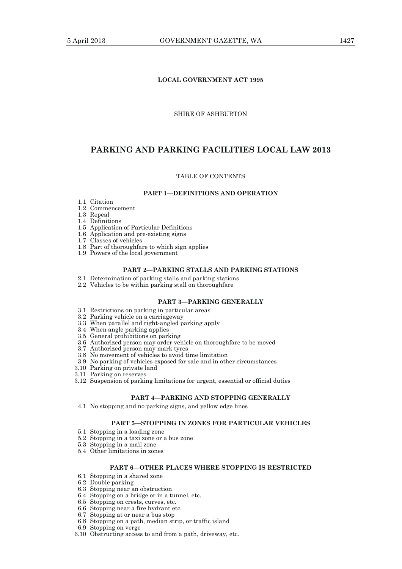## **LOCAL GOVERNMENT ACT 1995**

## SHIRE OF ASHBURTON

# **PARKING AND PARKING FACILITIES LOCAL LAW 2013**

#### TABLE OF CONTENTS

#### **PART 1—DEFINITIONS AND OPERATION**

- 1.1 Citation
- 1.2 Commencement
- 1.3 Repeal
- 1.4 Definitions
- 1.5 Application of Particular Definitions
- 1.6 Application and pre-existing signs
- 1.7 Classes of vehicles
- 1.8 Part of thoroughfare to which sign applies
- 1.9 Powers of the local government

## **PART 2—PARKING STALLS AND PARKING STATIONS**

- 2.1 Determination of parking stalls and parking stations
- 2.2 Vehicles to be within parking stall on thoroughfare

# **PART 3—PARKING GENERALLY**

- 3.1 Restrictions on parking in particular areas
- 3.2 Parking vehicle on a carriageway
- 3.3 When parallel and right-angled parking apply
- 3.4 When angle parking applies
- 3.5 General prohibitions on parking
- 3.6 Authorized person may order vehicle on thoroughfare to be moved
- 3.7 Authorized person may mark tyres
- 3.8 No movement of vehicles to avoid time limitation
	- 3.9 No parking of vehicles exposed for sale and in other circumstances
- 3.10 Parking on private land
- 3.11 Parking on reserves
	- 3.12 Suspension of parking limitations for urgent, essential or official duties

### **PART 4—PARKING AND STOPPING GENERALLY**

4.1 No stopping and no parking signs, and yellow edge lines

## **PART 5—STOPPING IN ZONES FOR PARTICULAR VEHICLES**

- 5.1 Stopping in a loading zone
- 5.2 Stopping in a taxi zone or a bus zone
- 5.3 Stopping in a mail zone
- 5.4 Other limitations in zones

# **PART 6—OTHER PLACES WHERE STOPPING IS RESTRICTED**

- 6.1 Stopping in a shared zone
- 6.2 Double parking
- 6.3 Stopping near an obstruction
- 6.4 Stopping on a bridge or in a tunnel, etc.
- 6.5 Stopping on crests, curves, etc.
- 6.6 Stopping near a fire hydrant etc.
- 6.7 Stopping at or near a bus stop
- 6.8 Stopping on a path, median strip, or traffic island
- 6.9 Stopping on verge
- 6.10 Obstructing access to and from a path, driveway, etc.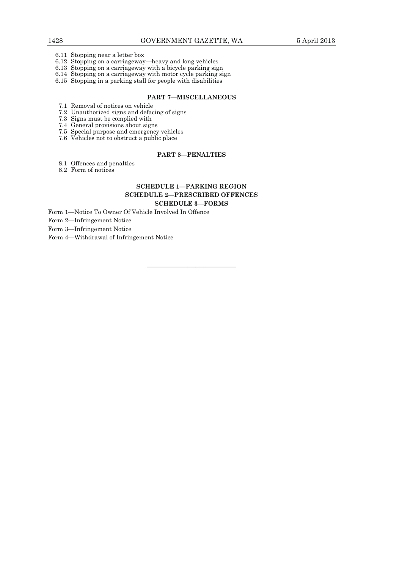- 6.11 Stopping near a letter box
- 6.12 Stopping on a carriageway—heavy and long vehicles
- 6.13 Stopping on a carriageway with a bicycle parking sign
	- 6.14 Stopping on a carriageway with motor cycle parking sign
	- 6.15 Stopping in a parking stall for people with disabilities

## **PART 7—MISCELLANEOUS**

- 7.1 Removal of notices on vehicle
- 7.2 Unauthorized signs and defacing of signs
- 7.3 Signs must be complied with
	- 7.4 General provisions about signs
	- 7.5 Special purpose and emergency vehicles
	- 7.6 Vehicles not to obstruct a public place

## **PART 8—PENALTIES**

- 8.1 Offences and penalties
- 8.2 Form of notices

# **SCHEDULE 1—PARKING REGION SCHEDULE 2—PRESCRIBED OFFENCES SCHEDULE 3—FORMS**

Form 1—Notice To Owner Of Vehicle Involved In Offence

Form 2—Infringement Notice

Form 3—Infringement Notice

Form 4—Withdrawal of Infringement Notice

———————————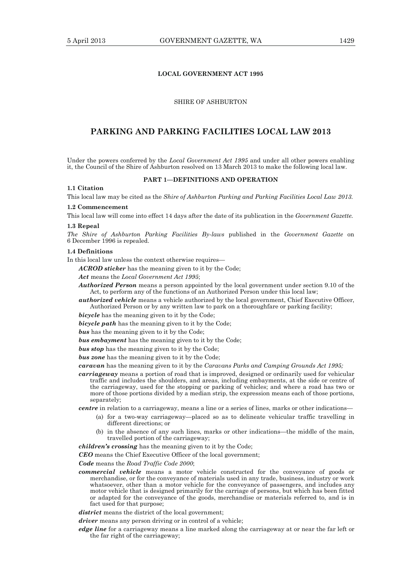### **LOCAL GOVERNMENT ACT 1995**

# SHIRE OF ASHBURTON

# **PARKING AND PARKING FACILITIES LOCAL LAW 2013**

Under the powers conferred by the *Local Government Act 1995* and under all other powers enabling it, the Council of the Shire of Ashburton resolved on 13 March 2013 to make the following local law.

#### **PART 1—DEFINITIONS AND OPERATION**

# **1.1 Citation**

This local law may be cited as the *Shire of Ashburton Parking and Parking Facilities Local Law 2013.* 

#### **1.2 Commencement**

This local law will come into effect 14 days after the date of its publication in the *Government Gazette.*

#### **1.3 Repeal**

*The Shire of Ashburton Parking Facilities By-laws* published in the *Government Gazette* on 6 December 1996 is repealed.

#### **1.4 Definitions**

In this local law unless the context otherwise requires—

*ACROD sticker* has the meaning given to it by the Code;

*Act* means the *Local Government Act 1995*;

*Authorized Person* means a person appointed by the local government under section 9.10 of the Act, to perform any of the functions of an Authorized Person under this local law;

*authorized vehicle* means a vehicle authorized by the local government, Chief Executive Officer, Authorized Person or by any written law to park on a thoroughfare or parking facility;

*bicycle* has the meaning given to it by the Code;

*bicycle path* has the meaning given to it by the Code;

*bus* has the meaning given to it by the Code;

*bus embayment* has the meaning given to it by the Code;

**bus stop** has the meaning given to it by the Code;

*bus zone* has the meaning given to it by the Code;

*caravan* has the meaning given to it by the *Caravans Parks and Camping Grounds Act 1995;*

*carriageway* means a portion of road that is improved, designed or ordinarily used for vehicular traffic and includes the shoulders, and areas, including embayments, at the side or centre of the carriageway, used for the stopping or parking of vehicles; and where a road has two or more of those portions divided by a median strip, the expression means each of those portions, separately;

*centre* in relation to a carriageway, means a line or a series of lines, marks or other indications—

- (a) for a two-way carriageway—placed so as to delineate vehicular traffic travelling in different directions; or
- (b) in the absence of any such lines, marks or other indications—the middle of the main, travelled portion of the carriageway;

*children's crossing* has the meaning given to it by the Code;

*CEO* means the Chief Executive Officer of the local government;

*Code* means the *Road Traffic Code 2000*;

*commercial vehicle* means a motor vehicle constructed for the conveyance of goods or merchandise, or for the conveyance of materials used in any trade, business, industry or work whatsoever, other than a motor vehicle for the conveyance of passengers, and includes any motor vehicle that is designed primarily for the carriage of persons, but which has been fitted or adapted for the conveyance of the goods, merchandise or materials referred to, and is in fact used for that purpose;

*district* means the district of the local government:

- *driver* means any person driving or in control of a vehicle;
- *edge line* for a carriageway means a line marked along the carriageway at or near the far left or the far right of the carriageway;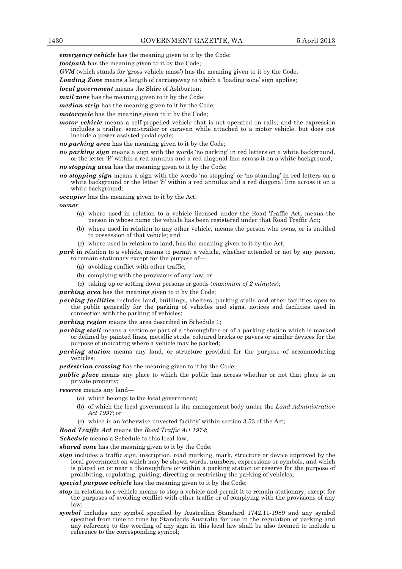*emergency vehicle* has the meaning given to it by the Code;

*footpath* has the meaning given to it by the Code;

*GVM* (which stands for 'gross vehicle mass') has the meaning given to it by the Code;

*Loading Zone* means a length of carriageway to which a 'loading zone' sign applies;

*local government* means the Shire of Ashburton;

*mail zone* has the meaning given to it by the Code;

*median strip* has the meaning given to it by the Code;

*motorcycle* has the meaning given to it by the Code;

*motor vehicle* means a self-propelled vehicle that is not operated on rails; and the expression includes a trailer, semi-trailer or caravan while attached to a motor vehicle, but does not include a power assisted pedal cycle;

*no parking area* has the meaning given to it by the Code;

*no parking sign* means a sign with the words 'no parking' in red letters on a white background, or the letter 'P' within a red annulus and a red diagonal line across it on a white background;

*no stopping* **area** has the meaning given to it by the Code;

*no stopping sign* means a sign with the words 'no stopping' or 'no standing' in red letters on a white background or the letter 'S' within a red annulus and a red diagonal line across it on a white background;

*occupier* has the meaning given to it by the Act;

*owner* 

- (a) where used in relation to a vehicle licensed under the Road Traffic Act, means the person in whose name the vehicle has been registered under that Road Traffic Act;
- (b) where used in relation to any other vehicle, means the person who owns, or is entitled to possession of that vehicle; and
- (c) where used in relation to land, has the meaning given to it by the Act;

*park* in relation to a vehicle, means to permit a vehicle, whether attended or not by any person, to remain stationary except for the purpose of—

- (a) avoiding conflict with other traffic;
- (b) complying with the provisions of any law; or

(c) taking up or setting down persons or goods (*maximum of 2 minutes*);

*parking area* has the meaning given to it by the Code;

*parking facilities* includes land, buildings, shelters, parking stalls and other facilities open to the public generally for the parking of vehicles and signs, notices and facilities used in connection with the parking of vehicles;

*parking region* means the area described in Schedule 1;

- *parking stall* means a section or part of a thoroughfare or of a parking station which is marked or defined by painted lines, metallic studs, coloured bricks or pavers or similar devices for the purpose of indicating where a vehicle may be parked;
- *parking station* means any land, or structure provided for the purpose of accommodating vehicles;

*pedestrian crossing* has the meaning given to it by the Code;

*public place* means any place to which the public has access whether or not that place is on private property;

*reserve* means any land—

- (a) which belongs to the local government;
- (b) of which the local government is the management body under the *Land Administration Act 1997*; or
- (c) which is an 'otherwise unvested facility' within section 3.53 of the Act;

*Road Traffic Act* means the *Road Traffic Act 1974*;

*Schedule* means a Schedule to this local law;

*shared zone* has the meaning given to it by the Code;

*sign* includes a traffic sign, inscription, road marking, mark, structure or device approved by the local government on which may be shown words, numbers, expressions or symbols, and which is placed on or near a thoroughfare or within a parking station or reserve for the purpose of prohibiting, regulating, guiding, directing or restricting the parking of vehicles;

*special purpose vehicle* has the meaning given to it by the Code;

- *stop* in relation to a vehicle means to stop a vehicle and permit it to remain stationary, except for the purposes of avoiding conflict with other traffic or of complying with the provisions of any law;
- *symbol* includes any symbol specified by Australian Standard 1742.11-1989 and any symbol specified from time to time by Standards Australia for use in the regulation of parking and any reference to the wording of any sign in this local law shall be also deemed to include a reference to the corresponding symbol;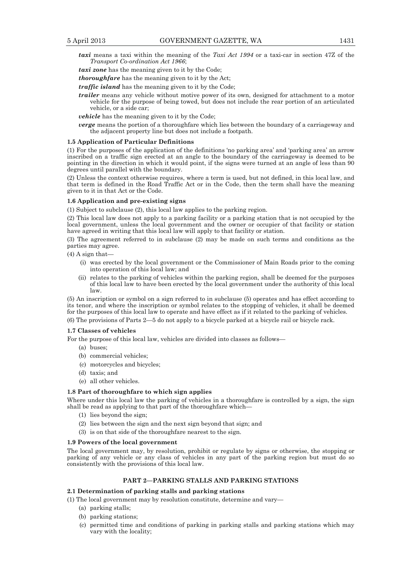- *taxi* means a taxi within the meaning of the *Taxi Act 1994* or a taxi-car in section 47Z of the *Transport Co-ordination Act 1966*;
- *taxi zone* has the meaning given to it by the Code;
- *thoroughfare* has the meaning given to it by the Act;
- *traffic island* has the meaning given to it by the Code;
- *trailer* means any vehicle without motive power of its own, designed for attachment to a motor vehicle for the purpose of being towed, but does not include the rear portion of an articulated vehicle, or a side car;
- *vehicle* has the meaning given to it by the Code;
- *verge* means the portion of a thoroughfare which lies between the boundary of a carriageway and the adjacent property line but does not include a footpath.

#### **1.5 Application of Particular Definitions**

(1) For the purposes of the application of the definitions 'no parking area' and 'parking area' an arrow inscribed on a traffic sign erected at an angle to the boundary of the carriageway is deemed to be pointing in the direction in which it would point, if the signs were turned at an angle of less than 90 degrees until parallel with the boundary.

(2) Unless the context otherwise requires, where a term is used, but not defined, in this local law, and that term is defined in the Road Traffic Act or in the Code, then the term shall have the meaning given to it in that Act or the Code.

#### **1.6 Application and pre-existing signs**

(1) Subject to subclause (2), this local law applies to the parking region.

(2) This local law does not apply to a parking facility or a parking station that is not occupied by the local government, unless the local government and the owner or occupier of that facility or station have agreed in writing that this local law will apply to that facility or station.

(3) The agreement referred to in subclause (2) may be made on such terms and conditions as the parties may agree.

 $(4)$  A sign that-

- (i) was erected by the local government or the Commissioner of Main Roads prior to the coming into operation of this local law; and
- (ii) relates to the parking of vehicles within the parking region, shall be deemed for the purposes of this local law to have been erected by the local government under the authority of this local law.

(5) An inscription or symbol on a sign referred to in subclause (5) operates and has effect according to its tenor, and where the inscription or symbol relates to the stopping of vehicles, it shall be deemed for the purposes of this local law to operate and have effect as if it related to the parking of vehicles.

(6) The provisions of Parts 2—5 do not apply to a bicycle parked at a bicycle rail or bicycle rack.

#### **1.7 Classes of vehicles**

For the purpose of this local law, vehicles are divided into classes as follows—

- (a) buses;
- (b) commercial vehicles;
- (c) motorcycles and bicycles;
- (d) taxis; and
- (e) all other vehicles.

#### **1.8 Part of thoroughfare to which sign applies**

Where under this local law the parking of vehicles in a thoroughfare is controlled by a sign, the sign shall be read as applying to that part of the thoroughfare which—

- (1) lies beyond the sign;
- (2) lies between the sign and the next sign beyond that sign; and
- (3) is on that side of the thoroughfare nearest to the sign.

#### **1.9 Powers of the local government**

The local government may, by resolution, prohibit or regulate by signs or otherwise, the stopping or parking of any vehicle or any class of vehicles in any part of the parking region but must do so consistently with the provisions of this local law.

#### **PART 2—PARKING STALLS AND PARKING STATIONS**

## **2.1 Determination of parking stalls and parking stations**

(1) The local government may by resolution constitute, determine and vary—

- (a) parking stalls;
- (b) parking stations;
- (c) permitted time and conditions of parking in parking stalls and parking stations which may vary with the locality;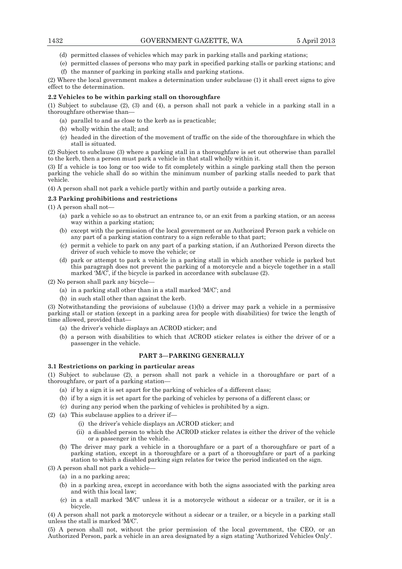- (d) permitted classes of vehicles which may park in parking stalls and parking stations;
- (e) permitted classes of persons who may park in specified parking stalls or parking stations; and (f) the manner of parking in parking stalls and parking stations.

(2) Where the local government makes a determination under subclause (1) it shall erect signs to give effect to the determination.

## **2.2 Vehicles to be within parking stall on thoroughfare**

(1) Subject to subclause (2), (3) and (4), a person shall not park a vehicle in a parking stall in a thoroughfare otherwise than—

- (a) parallel to and as close to the kerb as is practicable;
- (b) wholly within the stall; and
- (c) headed in the direction of the movement of traffic on the side of the thoroughfare in which the stall is situated.

(2) Subject to subclause (3) where a parking stall in a thoroughfare is set out otherwise than parallel to the kerb, then a person must park a vehicle in that stall wholly within it.

(3) If a vehicle is too long or too wide to fit completely within a single parking stall then the person parking the vehicle shall do so within the minimum number of parking stalls needed to park that vehicle.

(4) A person shall not park a vehicle partly within and partly outside a parking area.

#### **2.3 Parking prohibitions and restrictions**

(1) A person shall not—

- (a) park a vehicle so as to obstruct an entrance to, or an exit from a parking station, or an access way within a parking station;
- (b) except with the permission of the local government or an Authorized Person park a vehicle on any part of a parking station contrary to a sign referable to that part;
- (c) permit a vehicle to park on any part of a parking station, if an Authorized Person directs the driver of such vehicle to move the vehicle; or
- (d) park or attempt to park a vehicle in a parking stall in which another vehicle is parked but this paragraph does not prevent the parking of a motorcycle and a bicycle together in a stall marked  $\tilde{M}/\tilde{C}$ , if the bicycle is parked in accordance with subclause (2).

(2) No person shall park any bicycle—

- (a) in a parking stall other than in a stall marked 'M/C'; and
- (b) in such stall other than against the kerb.

(3) Notwithstanding the provisions of subclause (1)(b) a driver may park a vehicle in a permissive parking stall or station (except in a parking area for people with disabilities) for twice the length of time allowed, provided that—

- (a) the driver's vehicle displays an ACROD sticker; and
- (b) a person with disabilities to which that ACROD sticker relates is either the driver of or a passenger in the vehicle.

# **PART 3—PARKING GENERALLY**

## **3.1 Restrictions on parking in particular areas**

(1) Subject to subclause (2), a person shall not park a vehicle in a thoroughfare or part of a thoroughfare, or part of a parking station—

- (a) if by a sign it is set apart for the parking of vehicles of a different class;
- (b) if by a sign it is set apart for the parking of vehicles by persons of a different class; or
- (c) during any period when the parking of vehicles is prohibited by a sign.
- (2) (a) This subclause applies to a driver if—
	- (i) the driver's vehicle displays an ACROD sticker; and
	- (ii) a disabled person to which the ACROD sticker relates is either the driver of the vehicle or a passenger in the vehicle.
	- (b) The driver may park a vehicle in a thoroughfare or a part of a thoroughfare or part of a parking station, except in a thoroughfare or a part of a thoroughfare or part of a parking station to which a disabled parking sign relates for twice the period indicated on the sign.

(3) A person shall not park a vehicle—

- (a) in a no parking area;
- (b) in a parking area, except in accordance with both the signs associated with the parking area and with this local law;
- (c) in a stall marked 'M/C' unless it is a motorcycle without a sidecar or a trailer, or it is a bicycle.

(4) A person shall not park a motorcycle without a sidecar or a trailer, or a bicycle in a parking stall unless the stall is marked 'M/C'.

(5) A person shall not, without the prior permission of the local government, the CEO, or an Authorized Person, park a vehicle in an area designated by a sign stating 'Authorized Vehicles Only'.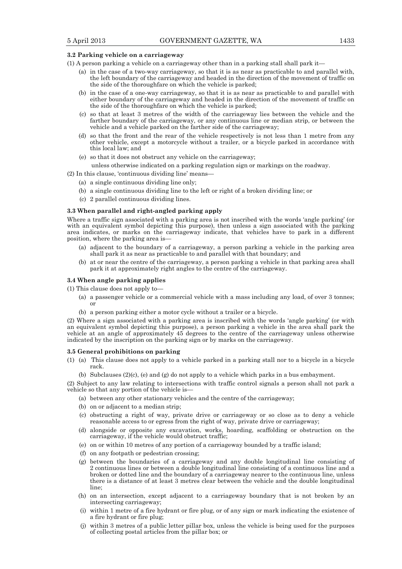#### **3.2 Parking vehicle on a carriageway**

- (1) A person parking a vehicle on a carriageway other than in a parking stall shall park it—
	- (a) in the case of a two-way carriageway, so that it is as near as practicable to and parallel with, the left boundary of the carriageway and headed in the direction of the movement of traffic on the side of the thoroughfare on which the vehicle is parked;
	- (b) in the case of a one-way carriageway, so that it is as near as practicable to and parallel with either boundary of the carriageway and headed in the direction of the movement of traffic on the side of the thoroughfare on which the vehicle is parked;
	- (c) so that at least 3 metres of the width of the carriageway lies between the vehicle and the farther boundary of the carriageway, or any continuous line or median strip, or between the vehicle and a vehicle parked on the farther side of the carriageway;
	- (d) so that the front and the rear of the vehicle respectively is not less than 1 metre from any other vehicle, except a motorcycle without a trailer, or a bicycle parked in accordance with this local law; and
	- (e) so that it does not obstruct any vehicle on the carriageway;

unless otherwise indicated on a parking regulation sign or markings on the roadway.

- $(2)$  In this clause, 'continuous dividing line' means-
	- (a) a single continuous dividing line only;
	- (b) a single continuous dividing line to the left or right of a broken dividing line; or
	- (c) 2 parallel continuous dividing lines.

#### **3.3 When parallel and right-angled parking apply**

Where a traffic sign associated with a parking area is not inscribed with the words 'angle parking' (or with an equivalent symbol depicting this purpose), then unless a sign associated with the parking area indicates, or marks on the carriageway indicate, that vehicles have to park in a different position, where the parking area is—

- (a) adjacent to the boundary of a carriageway, a person parking a vehicle in the parking area shall park it as near as practicable to and parallel with that boundary; and
- (b) at or near the centre of the carriageway, a person parking a vehicle in that parking area shall park it at approximately right angles to the centre of the carriageway.

#### **3.4 When angle parking applies**

(1) This clause does not apply to—

- (a) a passenger vehicle or a commercial vehicle with a mass including any load, of over 3 tonnes; or
- (b) a person parking either a motor cycle without a trailer or a bicycle.

(2) Where a sign associated with a parking area is inscribed with the words 'angle parking' (or with an equivalent symbol depicting this purpose), a person parking a vehicle in the area shall park the vehicle at an angle of approximately 45 degrees to the centre of the carriageway unless otherwise indicated by the inscription on the parking sign or by marks on the carriageway.

#### **3.5 General prohibitions on parking**

- (1) (a) This clause does not apply to a vehicle parked in a parking stall nor to a bicycle in a bicycle rack.
	- (b) Subclauses (2)(c), (e) and (g) do not apply to a vehicle which parks in a bus embayment.

(2) Subject to any law relating to intersections with traffic control signals a person shall not park a vehicle so that any portion of the vehicle is—

- (a) between any other stationary vehicles and the centre of the carriageway;
- (b) on or adjacent to a median strip;
- (c) obstructing a right of way, private drive or carriageway or so close as to deny a vehicle reasonable access to or egress from the right of way, private drive or carriageway;
- (d) alongside or opposite any excavation, works, hoarding, scaffolding or obstruction on the carriageway, if the vehicle would obstruct traffic;
- (e) on or within 10 metres of any portion of a carriageway bounded by a traffic island;
- (f) on any footpath or pedestrian crossing;
- (g) between the boundaries of a carriageway and any double longitudinal line consisting of 2 continuous lines or between a double longitudinal line consisting of a continuous line and a broken or dotted line and the boundary of a carriageway nearer to the continuous line, unless there is a distance of at least 3 metres clear between the vehicle and the double longitudinal line<sup>.</sup>
- (h) on an intersection, except adjacent to a carriageway boundary that is not broken by an intersecting carriageway;
- (i) within 1 metre of a fire hydrant or fire plug, or of any sign or mark indicating the existence of a fire hydrant or fire plug;
- (j) within 3 metres of a public letter pillar box, unless the vehicle is being used for the purposes of collecting postal articles from the pillar box; or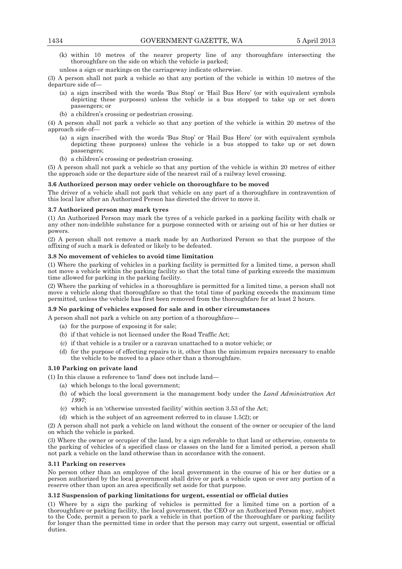- (k) within 10 metres of the nearer property line of any thoroughfare intersecting the thoroughfare on the side on which the vehicle is parked;
- unless a sign or markings on the carriageway indicate otherwise.

(3) A person shall not park a vehicle so that any portion of the vehicle is within 10 metres of the departure side of—

- (a) a sign inscribed with the words 'Bus Stop' or 'Hail Bus Here' (or with equivalent symbols depicting these purposes) unless the vehicle is a bus stopped to take up or set down passengers; or
- (b) a children's crossing or pedestrian crossing.

(4) A person shall not park a vehicle so that any portion of the vehicle is within 20 metres of the approach side of—

- (a) a sign inscribed with the words 'Bus Stop' or 'Hail Bus Here' (or with equivalent symbols depicting these purposes) unless the vehicle is a bus stopped to take up or set down passengers;
- (b) a children's crossing or pedestrian crossing.

(5) A person shall not park a vehicle so that any portion of the vehicle is within 20 metres of either the approach side or the departure side of the nearest rail of a railway level crossing.

#### **3.6 Authorized person may order vehicle on thoroughfare to be moved**

The driver of a vehicle shall not park that vehicle on any part of a thoroughfare in contravention of this local law after an Authorized Person has directed the driver to move it.

#### **3.7 Authorized person may mark tyres**

(1) An Authorized Person may mark the tyres of a vehicle parked in a parking facility with chalk or any other non-indelible substance for a purpose connected with or arising out of his or her duties or powers.

(2) A person shall not remove a mark made by an Authorized Person so that the purpose of the affixing of such a mark is defeated or likely to be defeated.

#### **3.8 No movement of vehicles to avoid time limitation**

(1) Where the parking of vehicles in a parking facility is permitted for a limited time, a person shall not move a vehicle within the parking facility so that the total time of parking exceeds the maximum time allowed for parking in the parking facility.

(2) Where the parking of vehicles in a thoroughfare is permitted for a limited time, a person shall not move a vehicle along that thoroughfare so that the total time of parking exceeds the maximum time permitted, unless the vehicle has first been removed from the thoroughfare for at least 2 hours.

## **3.9 No parking of vehicles exposed for sale and in other circumstances**

- A person shall not park a vehicle on any portion of a thoroughfare—
	- (a) for the purpose of exposing it for sale;
	- (b) if that vehicle is not licensed under the Road Traffic Act;
	- (c) if that vehicle is a trailer or a caravan unattached to a motor vehicle; or
	- (d) for the purpose of effecting repairs to it, other than the minimum repairs necessary to enable the vehicle to be moved to a place other than a thoroughfare.

## **3.10 Parking on private land**

- (1) In this clause a reference to 'land' does not include land—
	- (a) which belongs to the local government;
	- (b) of which the local government is the management body under the *Land Administration Act 1997*;
	- (c) which is an 'otherwise unvested facility' within section 3.53 of the Act;
	- (d) which is the subject of an agreement referred to in clause 1.5(2); or

(2) A person shall not park a vehicle on land without the consent of the owner or occupier of the land on which the vehicle is parked.

(3) Where the owner or occupier of the land, by a sign referable to that land or otherwise, consents to the parking of vehicles of a specified class or classes on the land for a limited period, a person shall not park a vehicle on the land otherwise than in accordance with the consent.

#### **3.11 Parking on reserves**

No person other than an employee of the local government in the course of his or her duties or a person authorized by the local government shall drive or park a vehicle upon or over any portion of a reserve other than upon an area specifically set aside for that purpose.

#### **3.12 Suspension of parking limitations for urgent, essential or official duties**

(1) Where by a sign the parking of vehicles is permitted for a limited time on a portion of a thoroughfare or parking facility, the local government, the CEO or an Authorized Person may, subject to the Code, permit a person to park a vehicle in that portion of the thoroughfare or parking facility for longer than the permitted time in order that the person may carry out urgent, essential or official duties.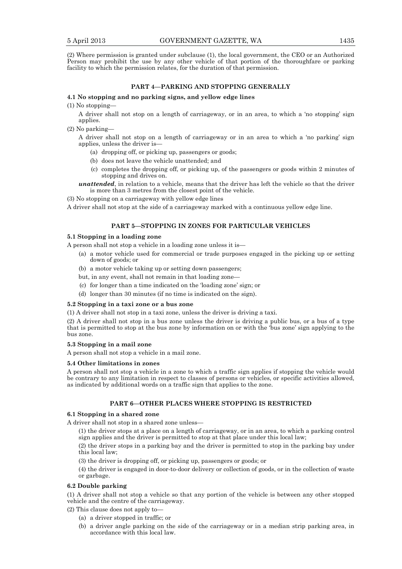(2) Where permission is granted under subclause (1), the local government, the CEO or an Authorized Person may prohibit the use by any other vehicle of that portion of the thoroughfare or parking facility to which the permission relates, for the duration of that permission.

#### **PART 4—PARKING AND STOPPING GENERALLY**

## **4.1 No stopping and no parking signs, and yellow edge lines**

 $(1)$  No stopping-

A driver shall not stop on a length of carriageway, or in an area, to which a 'no stopping' sign applies.

(2) No parking—

A driver shall not stop on a length of carriageway or in an area to which a 'no parking' sign applies, unless the driver is—

- (a) dropping off, or picking up, passengers or goods;
- (b) does not leave the vehicle unattended; and
- (c) completes the dropping off, or picking up, of the passengers or goods within 2 minutes of stopping and drives on.

*unattended*, in relation to a vehicle, means that the driver has left the vehicle so that the driver is more than 3 metres from the closest point of the vehicle.

(3) No stopping on a carriageway with yellow edge lines

A driver shall not stop at the side of a carriageway marked with a continuous yellow edge line.

## **PART 5—STOPPING IN ZONES FOR PARTICULAR VEHICLES**

### **5.1 Stopping in a loading zone**

A person shall not stop a vehicle in a loading zone unless it is—

- (a) a motor vehicle used for commercial or trade purposes engaged in the picking up or setting down of goods; or
- (b) a motor vehicle taking up or setting down passengers;
- but, in any event, shall not remain in that loading zone—
- (c) for longer than a time indicated on the 'loading zone' sign; or
- (d) longer than 30 minutes (if no time is indicated on the sign).

#### **5.2 Stopping in a taxi zone or a bus zone**

(1) A driver shall not stop in a taxi zone, unless the driver is driving a taxi.

(2) A driver shall not stop in a bus zone unless the driver is driving a public bus, or a bus of a type that is permitted to stop at the bus zone by information on or with the 'bus zone' sign applying to the bus zone.

#### **5.3 Stopping in a mail zone**

A person shall not stop a vehicle in a mail zone.

#### **5.4 Other limitations in zones**

A person shall not stop a vehicle in a zone to which a traffic sign applies if stopping the vehicle would be contrary to any limitation in respect to classes of persons or vehicles, or specific activities allowed, as indicated by additional words on a traffic sign that applies to the zone.

## **PART 6—OTHER PLACES WHERE STOPPING IS RESTRICTED**

## **6.1 Stopping in a shared zone**

A driver shall not stop in a shared zone unless—

(1) the driver stops at a place on a length of carriageway, or in an area, to which a parking control sign applies and the driver is permitted to stop at that place under this local law;

(2) the driver stops in a parking bay and the driver is permitted to stop in the parking bay under this local law;

(3) the driver is dropping off, or picking up, passengers or goods; or

(4) the driver is engaged in door-to-door delivery or collection of goods, or in the collection of waste or garbage.

### **6.2 Double parking**

(1) A driver shall not stop a vehicle so that any portion of the vehicle is between any other stopped vehicle and the centre of the carriageway.

- (2) This clause does not apply to—
	- (a) a driver stopped in traffic; or
	- (b) a driver angle parking on the side of the carriageway or in a median strip parking area, in accordance with this local law.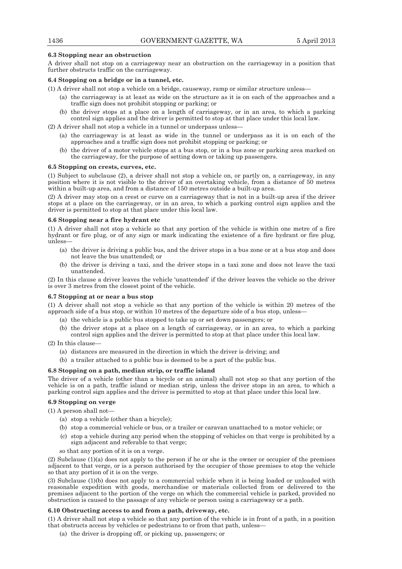## **6.3 Stopping near an obstruction**

A driver shall not stop on a carriageway near an obstruction on the carriageway in a position that further obstructs traffic on the carriageway.

## **6.4 Stopping on a bridge or in a tunnel, etc.**

- (1) A driver shall not stop a vehicle on a bridge, causeway, ramp or similar structure unless—
	- (a) the carriageway is at least as wide on the structure as it is on each of the approaches and a traffic sign does not prohibit stopping or parking; or
	- (b) the driver stops at a place on a length of carriageway, or in an area, to which a parking control sign applies and the driver is permitted to stop at that place under this local law.
- (2) A driver shall not stop a vehicle in a tunnel or underpass unless—
	- (a) the carriageway is at least as wide in the tunnel or underpass as it is on each of the approaches and a traffic sign does not prohibit stopping or parking; or
	- (b) the driver of a motor vehicle stops at a bus stop, or in a bus zone or parking area marked on the carriageway, for the purpose of setting down or taking up passengers.

#### **6.5 Stopping on crests, curves, etc.**

(1) Subject to subclause (2), a driver shall not stop a vehicle on, or partly on, a carriageway, in any position where it is not visible to the driver of an overtaking vehicle, from a distance of 50 metres within a built-up area, and from a distance of 150 metres outside a built-up area.

(2) A driver may stop on a crest or curve on a carriageway that is not in a built-up area if the driver stops at a place on the carriageway, or in an area, to which a parking control sign applies and the driver is permitted to stop at that place under this local law.

# **6.6 Stopping near a fire hydrant etc**

(1) A driver shall not stop a vehicle so that any portion of the vehicle is within one metre of a fire hydrant or fire plug, or of any sign or mark indicating the existence of a fire hydrant or fire plug, unless—

- (a) the driver is driving a public bus, and the driver stops in a bus zone or at a bus stop and does not leave the bus unattended; or
- (b) the driver is driving a taxi, and the driver stops in a taxi zone and does not leave the taxi unattended.

(2) In this clause a driver leaves the vehicle 'unattended' if the driver leaves the vehicle so the driver is over 3 metres from the closest point of the vehicle.

## **6.7 Stopping at or near a bus stop**

(1) A driver shall not stop a vehicle so that any portion of the vehicle is within 20 metres of the approach side of a bus stop, or within 10 metres of the departure side of a bus stop, unless—

- (a) the vehicle is a public bus stopped to take up or set down passengers; or
- (b) the driver stops at a place on a length of carriageway, or in an area, to which a parking control sign applies and the driver is permitted to stop at that place under this local law.

(2) In this clause—

- (a) distances are measured in the direction in which the driver is driving; and
- (b) a trailer attached to a public bus is deemed to be a part of the public bus.

## **6.8 Stopping on a path, median strip, or traffic island**

The driver of a vehicle (other than a bicycle or an animal) shall not stop so that any portion of the vehicle is on a path, traffic island or median strip, unless the driver stops in an area, to which a parking control sign applies and the driver is permitted to stop at that place under this local law.

# **6.9 Stopping on verge**

(1) A person shall not—

- (a) stop a vehicle (other than a bicycle);
- (b) stop a commercial vehicle or bus, or a trailer or caravan unattached to a motor vehicle; or
- (c) stop a vehicle during any period when the stopping of vehicles on that verge is prohibited by a sign adjacent and referable to that verge;
- so that any portion of it is on a verge.

(2) Subclause (1)(a) does not apply to the person if he or she is the owner or occupier of the premises adjacent to that verge, or is a person authorised by the occupier of those premises to stop the vehicle so that any portion of it is on the verge.

(3) Subclause (1)(b) does not apply to a commercial vehicle when it is being loaded or unloaded with reasonable expedition with goods, merchandise or materials collected from or delivered to the premises adjacent to the portion of the verge on which the commercial vehicle is parked, provided no obstruction is caused to the passage of any vehicle or person using a carriageway or a path.

## **6.10 Obstructing access to and from a path, driveway, etc.**

(1) A driver shall not stop a vehicle so that any portion of the vehicle is in front of a path, in a position that obstructs access by vehicles or pedestrians to or from that path, unless—

(a) the driver is dropping off, or picking up, passengers; or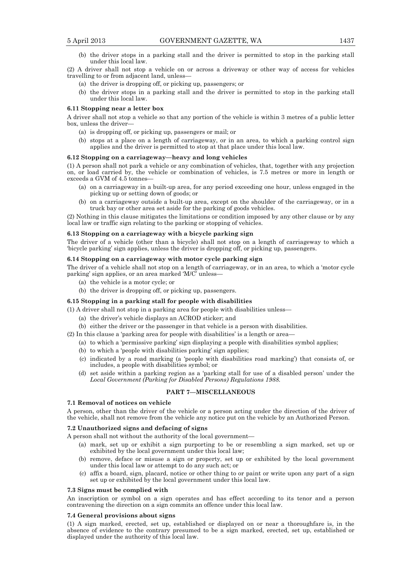(b) the driver stops in a parking stall and the driver is permitted to stop in the parking stall under this local law.

(2) A driver shall not stop a vehicle on or across a driveway or other way of access for vehicles travelling to or from adjacent land, unless—

- (a) the driver is dropping off, or picking up, passengers; or
- (b) the driver stops in a parking stall and the driver is permitted to stop in the parking stall under this local law.

#### **6.11 Stopping near a letter box**

A driver shall not stop a vehicle so that any portion of the vehicle is within 3 metres of a public letter box, unless the driver—

- (a) is dropping off, or picking up, passengers or mail; or
- (b) stops at a place on a length of carriageway, or in an area, to which a parking control sign applies and the driver is permitted to stop at that place under this local law.

#### **6.12 Stopping on a carriageway—heavy and long vehicles**

(1) A person shall not park a vehicle or any combination of vehicles, that, together with any projection on, or load carried by, the vehicle or combination of vehicles, is 7.5 metres or more in length or exceeds a GVM of 4.5 tonnes—

- (a) on a carriageway in a built-up area, for any period exceeding one hour, unless engaged in the picking up or setting down of goods; or
- (b) on a carriageway outside a built-up area, except on the shoulder of the carriageway, or in a truck bay or other area set aside for the parking of goods vehicles.

(2) Nothing in this clause mitigates the limitations or condition imposed by any other clause or by any local law or traffic sign relating to the parking or stopping of vehicles.

## **6.13 Stopping on a carriageway with a bicycle parking sign**

The driver of a vehicle (other than a bicycle) shall not stop on a length of carriageway to which a 'bicycle parking' sign applies, unless the driver is dropping off, or picking up, passengers.

#### **6.14 Stopping on a carriageway with motor cycle parking sign**

The driver of a vehicle shall not stop on a length of carriageway, or in an area, to which a 'motor cycle parking' sign applies, or an area marked 'M/C' unless—

- (a) the vehicle is a motor cycle; or
- (b) the driver is dropping off, or picking up, passengers.

## **6.15 Stopping in a parking stall for people with disabilities**

(1) A driver shall not stop in a parking area for people with disabilities unless—

- (a) the driver's vehicle displays an ACROD sticker; and
- (b) either the driver or the passenger in that vehicle is a person with disabilities.
- (2) In this clause a 'parking area for people with disabilities' is a length or area—
	- (a) to which a 'permissive parking' sign displaying a people with disabilities symbol applies;
	- (b) to which a 'people with disabilities parking' sign applies;
	- (c) indicated by a road marking (a 'people with disabilities road marking') that consists of, or includes, a people with disabilities symbol; or
	- (d) set aside within a parking region as a 'parking stall for use of a disabled person' under the *Local Government (Parking for Disabled Persons) Regulations 1988.*

### **PART 7—MISCELLANEOUS**

## **7.1 Removal of notices on vehicle**

A person, other than the driver of the vehicle or a person acting under the direction of the driver of the vehicle, shall not remove from the vehicle any notice put on the vehicle by an Authorized Person.

#### **7.2 Unauthorized signs and defacing of signs**

A person shall not without the authority of the local government—

- (a) mark, set up or exhibit a sign purporting to be or resembling a sign marked, set up or exhibited by the local government under this local law;
- (b) remove, deface or misuse a sign or property, set up or exhibited by the local government under this local law or attempt to do any such act; or
- (c) affix a board, sign, placard, notice or other thing to or paint or write upon any part of a sign set up or exhibited by the local government under this local law.

#### **7.3 Signs must be complied with**

An inscription or symbol on a sign operates and has effect according to its tenor and a person contravening the direction on a sign commits an offence under this local law.

#### **7.4 General provisions about signs**

(1) A sign marked, erected, set up, established or displayed on or near a thoroughfare is, in the absence of evidence to the contrary presumed to be a sign marked, erected, set up, established or displayed under the authority of this local law.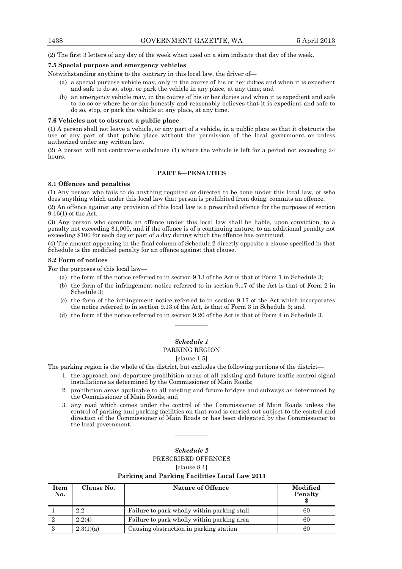(2) The first 3 letters of any day of the week when used on a sign indicate that day of the week.

#### **7.5 Special purpose and emergency vehicles**

Notwithstanding anything to the contrary in this local law, the driver of—

- (a) a special purpose vehicle may, only in the course of his or her duties and when it is expedient and safe to do so, stop, or park the vehicle in any place, at any time; and
- (b) an emergency vehicle may, in the course of his or her duties and when it is expedient and safe to do so or where he or she honestly and reasonably believes that it is expedient and safe to do so, stop, or park the vehicle at any place, at any time.

#### **7.6 Vehicles not to obstruct a public place**

(1) A person shall not leave a vehicle, or any part of a vehicle, in a public place so that it obstructs the use of any part of that public place without the permission of the local government or unless authorized under any written law.

(2) A person will not contravene subclause (1) where the vehicle is left for a period not exceeding 24 hours.

## **PART 8—PENALTIES**

#### **8.1 Offences and penalties**

(1) Any person who fails to do anything required or directed to be done under this local law, or who does anything which under this local law that person is prohibited from doing, commits an offence.

(2) An offence against any provision of this local law is a prescribed offence for the purposes of section 9.16(1) of the Act.

(3) Any person who commits an offence under this local law shall be liable, upon conviction, to a penalty not exceeding \$1,000, and if the offence is of a continuing nature, to an additional penalty not exceeding \$100 for each day or part of a day during which the offence has continued.

(4) The amount appearing in the final column of Schedule 2 directly opposite a clause specified in that Schedule is the modified penalty for an offence against that clause.

#### **8.2 Form of notices**

For the purposes of this local law—

- (a) the form of the notice referred to in section 9.13 of the Act is that of Form 1 in Schedule 3;
- (b) the form of the infringement notice referred to in section 9.17 of the Act is that of Form 2 in Schedule 3;
- (c) the form of the infringement notice referred to in section 9.17 of the Act which incorporates the notice referred to in section 9.13 of the Act, is that of Form 3 in Schedule 3; and
- (d) the form of the notice referred to in section 9.20 of the Act is that of Form 4 in Schedule 3. ————

# *Schedule 1*

## PARKING REGION

## [clause 1.5]

The parking region is the whole of the district, but excludes the following portions of the district—

- 1. the approach and departure prohibition areas of all existing and future traffic control signal installations as determined by the Commissioner of Main Roads;
- 2. prohibition areas applicable to all existing and future bridges and subways as determined by the Commissioner of Main Roads; and
- 3. any road which comes under the control of the Commissioner of Main Roads unless the control of parking and parking facilities on that road is carried out subject to the control and direction of the Commissioner of Main Roads or has been delegated by the Commissioner to the local government.

## *Schedule 2*  PRESCRIBED OFFENCES

————

[clause 8.1]

## **Parking and Parking Facilities Local Law 2013**

| Item<br>No. | Clause No. | <b>Nature of Offence</b>                    | Modified<br>Penalty |
|-------------|------------|---------------------------------------------|---------------------|
|             | 2.2        | Failure to park wholly within parking stall | 60                  |
|             | 2.2(4)     | Failure to park wholly within parking area  | 60                  |
|             | 2.3(1)(a)  | Causing obstruction in parking station      | 60                  |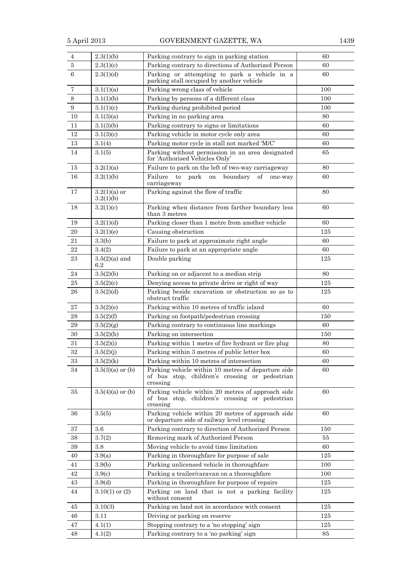| 4      | 2.3(1)(b)                   | Parking contrary to sign in parking station                                                                      | 60  |
|--------|-----------------------------|------------------------------------------------------------------------------------------------------------------|-----|
| 5      | 2.3(1)(c)                   | Parking contrary to directions of Authorized Person                                                              | 60  |
| 6      | 2.3(1)(d)                   | Parking or attempting to park a vehicle in a<br>parking stall occupied by another vehicle                        | 60  |
| 7      | 3.1(1)(a)                   | Parking wrong class of vehicle                                                                                   | 100 |
| 8      | 3.1(1)(b)                   | Parking by persons of a different class                                                                          | 100 |
| 9      | 3.1(1)(c)                   | Parking during prohibited period                                                                                 | 100 |
| 10     | 3.1(3)(a)                   | Parking in no parking area                                                                                       | 80  |
| 11     | 3.1(3)(b)                   | Parking contrary to signs or limitations                                                                         | 60  |
| 12     | 3.1(3)(c)                   | Parking vehicle in motor cycle only area                                                                         | 60  |
| 13     | 3.1(4)                      | Parking motor cycle in stall not marked 'M/C'                                                                    | 60  |
| 14     | 3.1(5)                      | Parking without permission in an area designated<br>for 'Authorised Vehicles Only'                               | 65  |
| 15     | 3.2(1)(a)                   | Failure to park on the left of two-way carriageway                                                               | 80  |
| 16     | 3.2(1)(b)                   | Failure<br>park<br>to<br>boundary<br>$\sigma f$<br>on<br>one-way<br>carriageway                                  | 60  |
| 17     | $3.2(1)(a)$ or<br>3.2(1)(b) | Parking against the flow of traffic                                                                              | 80  |
| 18     | 3.2(1)(c)                   | Parking when distance from farther boundary less<br>than 3 metres                                                | 60  |
| 19     | 3.2(1)(d)                   | Parking closer than 1 metre from another vehicle                                                                 | 60  |
| 20     | 3.2(1)(e)                   | Causing obstruction                                                                                              | 125 |
| 21     | 3.3(b)                      | Failure to park at approximate right angle                                                                       | 60  |
| 22     | 3.4(2)                      | Failure to park at an appropriate angle                                                                          | 60  |
| 23     | $3.5(2)(a)$ and<br>6.2      | Double parking                                                                                                   | 125 |
| 24     | 3.5(2)(b)                   | Parking on or adjacent to a median strip                                                                         | 80  |
| 25     | 3.5(2)(c)                   | Denying access to private drive or right of way                                                                  | 125 |
| 26     | 3.5(2)(d)                   | Parking beside excavation or obstruction so as to<br>obstruct traffic                                            | 125 |
| 27     | 3.5(2)(e)                   | Parking within 10 metres of traffic island                                                                       | 60  |
| 28     | 3.5(2)(f)                   | Parking on footpath/pedestrian crossing                                                                          | 150 |
| 29     | 3.5(2)(g)                   | Parking contrary to continuous line markings                                                                     | 60  |
| 30     | 3.5(2)(h)                   | Parking on intersection                                                                                          | 150 |
| 31     | 3.5(2)(i)                   | Parking within 1 metre of fire hydrant or fire plug                                                              | 80  |
| $32\,$ | 3.5(2)(j)                   | Parking within 3 metres of public letter box                                                                     | 60  |
| 33     | 3.5(2)(k)                   | Parking within 10 metres of intersection                                                                         | 60  |
| 34     | $3.5(3)(a)$ or (b)          | Parking vehicle within 10 metres of departure side<br>of bus stop, children's crossing or pedestrian<br>crossing | 60  |
| 35     | $3.5(4)(a)$ or (b)          | Parking vehicle within 20 metres of approach side<br>of bus stop, children's crossing or pedestrian<br>crossing  | 60  |
| 36     | 3.5(5)                      | Parking vehicle within 20 metres of approach side<br>or departure side of railway level crossing                 | 60  |
| 37     | 3.6                         | Parking contrary to direction of Authorized Person                                                               | 150 |
| 38     | 3.7(2)                      | Removing mark of Authorized Person                                                                               | 55  |
| 39     | 3.8                         | Moving vehicle to avoid time limitation                                                                          | 60  |
| 40     | 3.9(a)                      | Parking in thoroughfare for purpose of sale                                                                      | 125 |
| 41     | 3.9(b)                      | Parking unlicensed vehicle in thoroughfare                                                                       | 100 |
| 42     | 3.9(c)                      | Parking a trailer/caravan on a thoroughfare                                                                      | 100 |
| 43     | 3.9 <sub>d</sub>            | Parking in thoroughfare for purpose of repairs                                                                   | 125 |
| 44     | $3.10(1)$ or $(2)$          | Parking on land that is not a parking facility<br>without consent                                                | 125 |
| 45     | 3.10(3)                     | Parking on land not in accordance with consent                                                                   | 125 |
| 46     | 3.11                        | Driving or parking on reserve                                                                                    | 125 |
| 47     | 4.1(1)                      | Stopping contrary to a 'no stopping' sign                                                                        | 125 |
| 48     | 4.1(2)                      | Parking contrary to a 'no parking' sign                                                                          | 85  |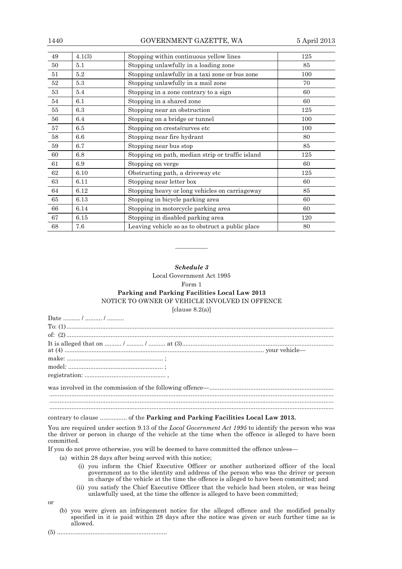| 1440 |        | GOVERNMENT GAZETTE, WA                           | 5 April 2013 |
|------|--------|--------------------------------------------------|--------------|
| 49   | 4.1(3) | Stopping within continuous yellow lines          | 125          |
| 50   | 5.1    | Stopping unlawfully in a loading zone            | 85           |
| 51   | 5.2    | Stopping unlawfully in a taxi zone or bus zone   | 100          |
| 52   | 5.3    | Stopping unlawfully in a mail zone               | 70           |
| 53   | 5.4    | Stopping in a zone contrary to a sign            | 60           |
| 54   | 6.1    | Stopping in a shared zone                        | 60           |
| 55   | 6.3    | Stopping near an obstruction                     | 125          |
| 56   | 6.4    | Stopping on a bridge or tunnel                   | 100          |
| 57   | 6.5    | Stopping on crests/curves etc                    | 100          |
| 58   | 6.6    | Stopping near fire hydrant                       | 80           |
| 59   | 6.7    | Stopping near bus stop                           | 85           |
| 60   | 6.8    | Stopping on path, median strip or traffic island | 125          |
| 61   | 6.9    | Stopping on verge                                | 60           |
| 62   | 6.10   | Obstructing path, a driveway etc                 | 125          |
| 63   | 6.11   | Stopping near letter box                         | 60           |
| 64   | 6.12   | Stopping heavy or long vehicles on carriageway   | 85           |
| 65   | 6.13   | Stopping in bicycle parking area                 | 60           |
| 66   | 6.14   | Stopping in motorcycle parking area              | 60           |
| 67   | 6.15   | Stopping in disabled parking area                | 120          |
| 68   | 7.6    | Leaving vehicle so as to obstruct a public place | 80           |

*Schedule 3*  Local Government Act 1995

————

#### Form 1

# **Parking and Parking Facilities Local Law 2013**  NOTICE TO OWNER OF VEHICLE INVOLVED IN OFFENCE

 $[clause 8.2(a)]$ 

| Date  /  / |
|------------|
|            |
|            |
|            |
|            |
|            |
|            |
|            |
|            |
|            |
|            |

# contrary to clause ................ of the **Parking and Parking Facilities Local Law 2013.**

You are required under section 9.13 of the *Local Government Act 1995* to identify the person who was the driver or person in charge of the vehicle at the time when the offence is alleged to have been committed.

If you do not prove otherwise, you will be deemed to have committed the offence unless—

(a) within 28 days after being served with this notice;

- (i) you inform the Chief Executive Officer or another authorized officer of the local government as to the identity and address of the person who was the driver or person in charge of the vehicle at the time the offence is alleged to have been committed; and
- (ii) you satisfy the Chief Executive Officer that the vehicle had been stolen, or was being unlawfully used, at the time the offence is alleged to have been committed;

or

- (b) you were given an infringement notice for the alleged offence and the modified penalty specified in it is paid within 28 days after the notice was given or such further time as is allowed.
- (5) .................................................................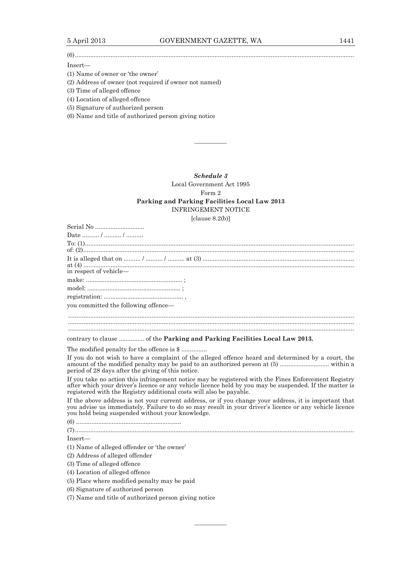(6) ....................................................................................................................................................................

## Insert—

(1) Name of owner or 'the owner'

(2) Address of owner (not required if owner not named)

(3) Time of alleged offence

(4) Location of alleged offence

(5) Signature of authorized person

(6) Name and title of authorized person giving notice

*Schedule 3*  Local Government Act 1995 Form 2

————

## **Parking and Parking Facilities Local Law 2013**  INFRINGEMENT NOTICE

 $\lceil \text{clauso } 8.2(h) \rceil$ 

| $ $ ciause $\sigma$ . $\Delta$ (D) $ $                                                                                                                                                                                                                                                 |
|----------------------------------------------------------------------------------------------------------------------------------------------------------------------------------------------------------------------------------------------------------------------------------------|
| Serial No                                                                                                                                                                                                                                                                              |
| Date  /  /                                                                                                                                                                                                                                                                             |
|                                                                                                                                                                                                                                                                                        |
|                                                                                                                                                                                                                                                                                        |
|                                                                                                                                                                                                                                                                                        |
| in respect of vehicle-                                                                                                                                                                                                                                                                 |
|                                                                                                                                                                                                                                                                                        |
|                                                                                                                                                                                                                                                                                        |
|                                                                                                                                                                                                                                                                                        |
|                                                                                                                                                                                                                                                                                        |
| you committed the following offence—                                                                                                                                                                                                                                                   |
|                                                                                                                                                                                                                                                                                        |
|                                                                                                                                                                                                                                                                                        |
|                                                                                                                                                                                                                                                                                        |
| contrary to clause  of the Parking and Parking Facilities Local Law 2013.                                                                                                                                                                                                              |
| The modified penalty for the offence is \$                                                                                                                                                                                                                                             |
| If you do not wish to have a complaint of the alleged offence heard and determined by a court, the<br>period of 28 days after the giving of this notice.                                                                                                                               |
| If you take no action this infringement notice may be registered with the Fines Enforcement Registry<br>after which your driver's licence or any vehicle licence held by you may be suspended. If the matter is<br>registered with the Registry additional costs will also be payable. |
| If the above address is not your current address, or if you change your address, it is important that<br>you advise us immediately. Failure to do so may result in your driver's licence or any vehicle licence<br>you hold being suspended without your knowledge.                    |
|                                                                                                                                                                                                                                                                                        |
|                                                                                                                                                                                                                                                                                        |
| Insert—                                                                                                                                                                                                                                                                                |
| (1) Name of alleged offender or 'the owner'                                                                                                                                                                                                                                            |
| (2) Address of alleged offender                                                                                                                                                                                                                                                        |
| (3) Time of alleged offence                                                                                                                                                                                                                                                            |
|                                                                                                                                                                                                                                                                                        |

————

(4) Location of alleged offence

(5) Place where modified penalty may be paid

(6) Signature of authorized person

(7) Name and title of authorized person giving notice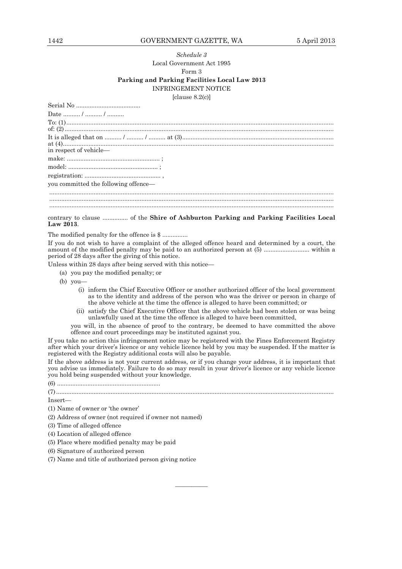## 1442 GOVERNMENT GAZETTE, WA 5 April 2013

# *Schedule 3*  Local Government Act 1995 Form 3 **Parking and Parking Facilities Local Law 2013**  INFRINGEMENT NOTICE [clause 8.2(c)]

| Date  /  /                           |
|--------------------------------------|
|                                      |
|                                      |
|                                      |
|                                      |
|                                      |
|                                      |
| you committed the following offence- |
|                                      |
|                                      |
|                                      |

contrary to clause ............... of the **Shire of Ashburton Parking and Parking Facilities Local Law 2013**.

The modified penalty for the offence is \$ ...............

If you do not wish to have a complaint of the alleged offence heard and determined by a court, the amount of the modified penalty may be paid to an authorized person at (5) ........................... within a period of 28 days after the giving of this notice.

Unless within 28 days after being served with this notice—

- (a) you pay the modified penalty; or
- (b) you—
	- (i) inform the Chief Executive Officer or another authorized officer of the local government as to the identity and address of the person who was the driver or person in charge of the above vehicle at the time the offence is alleged to have been committed; or
	- (ii) satisfy the Chief Executive Officer that the above vehicle had been stolen or was being unlawfully used at the time the offence is alleged to have been committed,

you will, in the absence of proof to the contrary, be deemed to have committed the above offence and court proceedings may be instituted against you.

If you take no action this infringement notice may be registered with the Fines Enforcement Registry after which your driver's licence or any vehicle licence held by you may be suspended. If the matter is registered with the Registry additional costs will also be payable.

If the above address is not your current address, or if you change your address, it is important that you advise us immediately. Failure to do so may result in your driver's licence or any vehicle licence you hold being suspended without your knowledge.

(6) .............................................................

#### (7) ...................................................................................................................................................................

————

Insert—

- (1) Name of owner or 'the owner'
- (2) Address of owner (not required if owner not named)

(3) Time of alleged offence

(4) Location of alleged offence

- (5) Place where modified penalty may be paid
- (6) Signature of authorized person
- (7) Name and title of authorized person giving notice